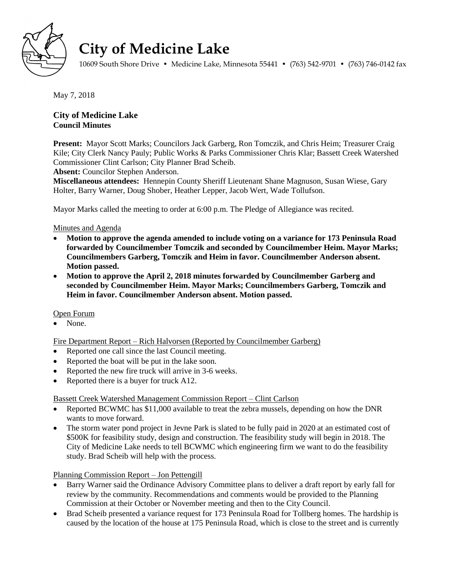

# **City of Medicine Lake**

10609 South Shore Drive • Medicine Lake, Minnesota 55441 • (763) 542-9701 • (763) 746-0142 fax

May 7, 2018

## **City of Medicine Lake Council Minutes**

**Present:** Mayor Scott Marks; Councilors Jack Garberg, Ron Tomczik, and Chris Heim; Treasurer Craig Kile; City Clerk Nancy Pauly; Public Works & Parks Commissioner Chris Klar; Bassett Creek Watershed Commissioner Clint Carlson; City Planner Brad Scheib.

**Absent:** Councilor Stephen Anderson.

**Miscellaneous attendees:** Hennepin County Sheriff Lieutenant Shane Magnuson, Susan Wiese, Gary Holter, Barry Warner, Doug Shober, Heather Lepper, Jacob Wert, Wade Tollufson.

Mayor Marks called the meeting to order at 6:00 p.m. The Pledge of Allegiance was recited.

## Minutes and Agenda

- **Motion to approve the agenda amended to include voting on a variance for 173 Peninsula Road forwarded by Councilmember Tomczik and seconded by Councilmember Heim. Mayor Marks; Councilmembers Garberg, Tomczik and Heim in favor. Councilmember Anderson absent. Motion passed.**
- **Motion to approve the April 2, 2018 minutes forwarded by Councilmember Garberg and seconded by Councilmember Heim. Mayor Marks; Councilmembers Garberg, Tomczik and Heim in favor. Councilmember Anderson absent. Motion passed.**

#### Open Forum

• None

Fire Department Report – Rich Halvorsen (Reported by Councilmember Garberg)

- Reported one call since the last Council meeting.
- Reported the boat will be put in the lake soon.
- Reported the new fire truck will arrive in 3-6 weeks.
- Reported there is a buyer for truck A12.

#### Bassett Creek Watershed Management Commission Report – Clint Carlson

- Reported BCWMC has \$11,000 available to treat the zebra mussels, depending on how the DNR wants to move forward.
- The storm water pond project in Jevne Park is slated to be fully paid in 2020 at an estimated cost of \$500K for feasibility study, design and construction. The feasibility study will begin in 2018. The City of Medicine Lake needs to tell BCWMC which engineering firm we want to do the feasibility study. Brad Scheib will help with the process.

Planning Commission Report – Jon Pettengill

- Barry Warner said the Ordinance Advisory Committee plans to deliver a draft report by early fall for review by the community. Recommendations and comments would be provided to the Planning Commission at their October or November meeting and then to the City Council.
- Brad Scheib presented a variance request for 173 Peninsula Road for Tollberg homes. The hardship is caused by the location of the house at 175 Peninsula Road, which is close to the street and is currently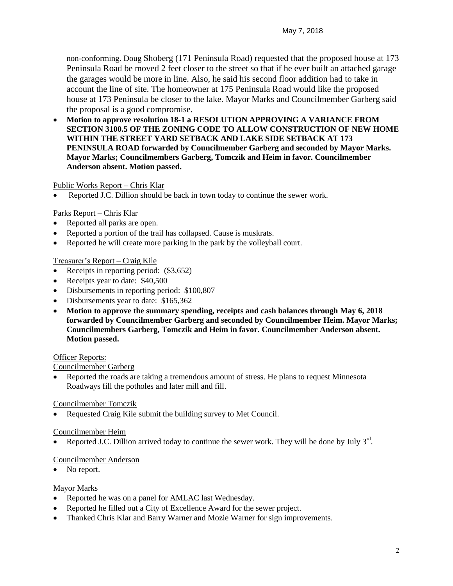non-conforming. Doug Shoberg (171 Peninsula Road) requested that the proposed house at 173 Peninsula Road be moved 2 feet closer to the street so that if he ever built an attached garage the garages would be more in line. Also, he said his second floor addition had to take in account the line of site. The homeowner at 175 Peninsula Road would like the proposed house at 173 Peninsula be closer to the lake. Mayor Marks and Councilmember Garberg said the proposal is a good compromise.

 **Motion to approve resolution 18-1 a RESOLUTION APPROVING A VARIANCE FROM SECTION 3100.5 OF THE ZONING CODE TO ALLOW CONSTRUCTION OF NEW HOME WITHIN THE STREET YARD SETBACK AND LAKE SIDE SETBACK AT 173 PENINSULA ROAD forwarded by Councilmember Garberg and seconded by Mayor Marks. Mayor Marks; Councilmembers Garberg, Tomczik and Heim in favor. Councilmember Anderson absent. Motion passed.**

## Public Works Report – Chris Klar

Reported J.C. Dillion should be back in town today to continue the sewer work.

#### Parks Report – Chris Klar

- Reported all parks are open.
- Reported a portion of the trail has collapsed. Cause is muskrats.
- Reported he will create more parking in the park by the volleyball court.

## Treasurer's Report – Craig Kile

- Receipts in reporting period:  $(\$3,652)$
- Receipts year to date: \$40,500
- Disbursements in reporting period: \$100,807
- Disbursements year to date: \$165,362
- **Motion to approve the summary spending, receipts and cash balances through May 6, 2018 forwarded by Councilmember Garberg and seconded by Councilmember Heim. Mayor Marks; Councilmembers Garberg, Tomczik and Heim in favor. Councilmember Anderson absent. Motion passed.**

#### Officer Reports:

#### Councilmember Garberg

• Reported the roads are taking a tremendous amount of stress. He plans to request Minnesota Roadways fill the potholes and later mill and fill.

#### Councilmember Tomczik

• Requested Craig Kile submit the building survey to Met Council.

#### Councilmember Heim

• Reported J.C. Dillion arrived today to continue the sewer work. They will be done by July  $3<sup>rd</sup>$ .

## Councilmember Anderson

• No report.

#### Mayor Marks

- Reported he was on a panel for AMLAC last Wednesday.
- Reported he filled out a City of Excellence Award for the sewer project.
- Thanked Chris Klar and Barry Warner and Mozie Warner for sign improvements.